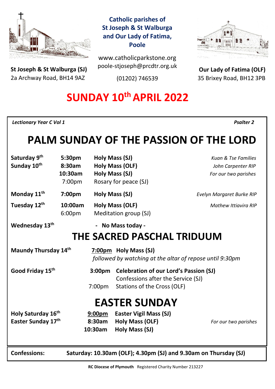

**St Joseph & St Walburga (SJ)** 2a Archway Road, BH14 9AZ 

## **Catholic parishes of St Joseph & St Walburga and Our Lady of Fatima, Poole**

www.catholicparkstone.org poole-stjoseph@prcdtr.org.uk

(01202) 746539



**Our Lady of Fatima (OLF)** 35 Brixey Road, BH12 3PB

# **SUNDAY 10thAPRIL 2022**

*Lectionary Year C Vol 1**Psalter 2*

# **PALM SUNDAY OF THE PASSION OF THE LORD**

| Saturday 9th                                             | 5:30pm                                                           |                    | Holy Mass (SJ)                                | Kuan & Tse Families         |  |
|----------------------------------------------------------|------------------------------------------------------------------|--------------------|-----------------------------------------------|-----------------------------|--|
| Sunday 10th                                              | 8:30am                                                           |                    | <b>Holy Mass (OLF)</b>                        | John Carpenter RIP          |  |
|                                                          | 10:30am                                                          |                    | Holy Mass (SJ)                                | For our two parishes        |  |
|                                                          | 7:00pm                                                           |                    | Rosary for peace (SJ)                         |                             |  |
| Monday 11 <sup>th</sup>                                  | 7:00pm                                                           |                    | Holy Mass (SJ)                                | Evelyn Margaret Burke RIP   |  |
| Tuesday 12th                                             | 10:00am                                                          | Holy Mass (OLF)    |                                               | <b>Mathew Ittiavira RIP</b> |  |
|                                                          | 6:00pm                                                           |                    | Meditation group (SJ)                         |                             |  |
| Wednesday 13 <sup>th</sup>                               |                                                                  | $\blacksquare$     | No Mass today -                               |                             |  |
| THE SACRED PASCHAL TRIDUUM                               |                                                                  |                    |                                               |                             |  |
| Maundy Thursday 14th                                     |                                                                  |                    | 7:00pm Holy Mass (SJ)                         |                             |  |
| followed by watching at the altar of repose until 9:30pm |                                                                  |                    |                                               |                             |  |
| Good Friday 15th                                         |                                                                  | 3:00 <sub>pm</sub> | <b>Celebration of our Lord's Passion (SJ)</b> |                             |  |
|                                                          |                                                                  |                    | Confessions after the Service (SJ)            |                             |  |
|                                                          |                                                                  | 7:00 <sub>pm</sub> | Stations of the Cross (OLF)                   |                             |  |
| <b>EASTER SUNDAY</b>                                     |                                                                  |                    |                                               |                             |  |
| Holy Saturday 16th                                       |                                                                  | 9:00 <sub>pm</sub> | <b>Easter Vigil Mass (SJ)</b>                 |                             |  |
| Easter Sunday 17th                                       |                                                                  | 8:30am             | <b>Holy Mass (OLF)</b>                        | For our two parishes        |  |
|                                                          |                                                                  | 10:30am            | <b>Holy Mass (SJ)</b>                         |                             |  |
|                                                          |                                                                  |                    |                                               |                             |  |
| <b>Confessions:</b>                                      | Saturday: 10.30am (OLF); 4.30pm (SJ) and 9.30am on Thursday (SJ) |                    |                                               |                             |  |